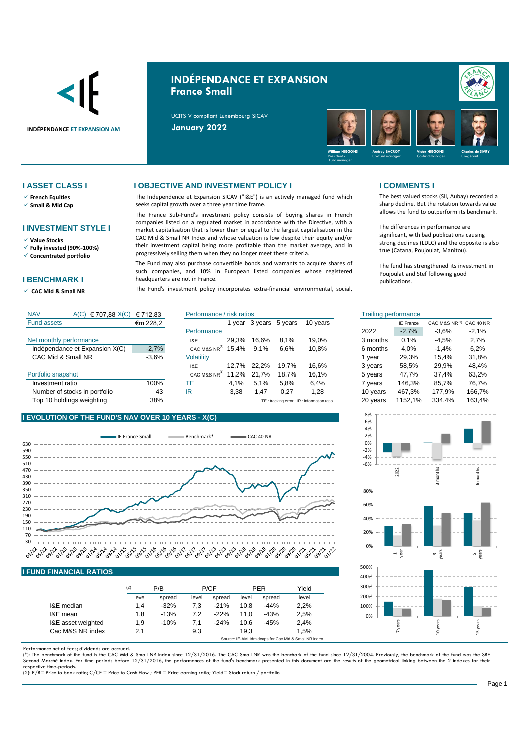

# **INDÉPENDANCE ET EXPANSION France Small**

UCITS V compliant Luxembourg SICAV

**INDÉPENDANCE ET EXPANSION AM January 2022**



✓ **French Equities**

✓ **Small & Mid Cap**

## **I INVESTMENT STYLE I**

✓ **Value Stocks**

✓ **Fully invested (90%-100%)**

✓ **Concentrated portfolio**

### **I BENCHMARK I**

✓ **CAC Mid & Small NR** 

### **I ASSET CLASS I I OBJECTIVE AND INVESTMENT POLICY I I COMMENTS I**

The Independence et Expansion SICAV ("I&E") is an actively managed fund which seeks capital growth over a three year time frame.

The France Sub-Fund's investment policy consists of buying shares in French companies listed on a regulated market in accordance with the Directive, with a market capitalisation that is lower than or equal to the largest capitalisation in the CAC Mid & Small NR Index and whose valuation is low despite their equity and/or their investment capital being more profitable than the market average, and in progressively selling them when they no longer meet these criteria.

The Fund may also purchase convertible bonds and warrants to acquire shares of such companies, and 10% in European listed companies whose registered headquarters are not in France.

The Fund's investment policy incorporates extra-financial environmental, social,

-6% -4% -2% 0% 2% 4% 6% 8%

0% 20% 40% 60% 80%

0% 100% 200% 300% 400% 500% 2022

1 year

7 years

The best valued stocks (SII, Aubay) recorded a sharp decline. But the rotation towards value allows the fund to outperform its benchmark.

The differences in performance are significant, with bad publications causing strong declines (LDLC) and the opposite is also true (Catana, Poujoulat, Manitou).

The fund has strengthened its investment in Poujoulat and Stef following good publications.

3 months

 $\overline{3}$ years

10 years

6 months

5 years

15 years

| <b>NAV</b>                     | A(C) €707,88 X(C) €712,83 |                           | Performance / risk ratios |       |                 |                                           |          | <b>Trailing performance</b> |                         |         |  |  |
|--------------------------------|---------------------------|---------------------------|---------------------------|-------|-----------------|-------------------------------------------|----------|-----------------------------|-------------------------|---------|--|--|
| <b>Fund assets</b>             | €m 228,2                  |                           | 1 vear                    |       | 3 years 5 years | 10 years                                  |          | <b>IE France</b>            | CAC M&S NR(1) CAC 40 NR |         |  |  |
|                                |                           | Performance               |                           |       |                 |                                           | 2022     | $-2,7%$                     | $-3.6%$                 | $-2.1%$ |  |  |
| Net monthly performance        |                           | 1&E                       | 29.3%                     | 16.6% | 8.1%            | 19.0%                                     | 3 months | 0.1%                        | $-4,5%$                 | 2.7%    |  |  |
| Indépendance et Expansion X(C) | $-2,7%$                   | CAC M&S NR $^{(1)}$ 15,4% |                           | 9.1%  | 6.6%            | 10.8%                                     | 6 months | 4.0%                        | $-1.4%$                 | 6,2%    |  |  |
| CAC Mid & Small NR             | $-3.6%$                   | Volatility                |                           |       |                 |                                           | vear     | 29.3%                       | 15.4%                   | 31,8%   |  |  |
|                                |                           | 1&E                       | 12.7%                     | 22.2% | 19.7%           | 16.6%                                     | 3 years  | 58.5%                       | 29.9%                   | 48.4%   |  |  |
| Portfolio snapshot             |                           | CAC M&S NR <sup>(1)</sup> | 11.2%                     | 21.7% | 18.7%           | 16.1%                                     | 5 years  | 47,7%                       | 37.4%                   | 63,2%   |  |  |
| Investment ratio               | 100%                      | ТE                        | 4.1%                      | 5.1%  | 5.8%            | 6.4%                                      | 7 years  | 146.3%                      | 85,7%                   | 76,7%   |  |  |
| Number of stocks in portfolio  | 43                        | IR                        | 3.38                      | 47،   | 0,27            | 1,28                                      | 10 years | 467.3%                      | 177.9%                  | 166,7%  |  |  |
| Top 10 holdings weighting      | 38%                       |                           |                           |       |                 | TE: tracking error: IR: information ratio | 20 years | 1152.1%                     | 334.4%                  | 163,4%  |  |  |

## **I EVOLUTION OF THE FUND'S NAV OVER 10 YEARS - X(C)**



### **I FUND FINANCIAL RATIOS**

|                    | (2)   | P/B    |       | P/CF   |       | <b>PER</b> | Yield                                                 |  |
|--------------------|-------|--------|-------|--------|-------|------------|-------------------------------------------------------|--|
|                    | level | spread | level | spread | level | spread     | level                                                 |  |
| I&E median         | 1.4   | $-32%$ | 7.3   | $-21%$ | 10.8  | $-44%$     | 2.2%                                                  |  |
| I&E mean           | 1.8   | $-13%$ | 7.2   | $-22%$ | 11.0  | $-43%$     | 2.5%                                                  |  |
| I&E asset weighted | 1.9   | $-10%$ | 7.1   | $-24%$ | 10.6  | $-45%$     | 2.4%                                                  |  |
| Cac M&S NR index   | 2,1   |        | 9,3   |        | 19.3  |            | 1.5%                                                  |  |
|                    |       |        |       |        |       |            | Source: IE-AM, Idmidcaps for Cac Mid & Small NR index |  |

Performance net of fees; dividends are accrued.

(\*): The benchmark of the fund is the CAC Mid & Small NR index since 12/31/2016. The CAC Small NR was the benchark of the fund since 12/31/2004. Previously, the benchmark of the fund was the SBF<br>Second Marché index. For ti respective time-periods.

(2): P/B= Price to book ratio; C/CF = Price to Cash Flow ; PER = Price earning ratio; Yield= Stock return / portfolio